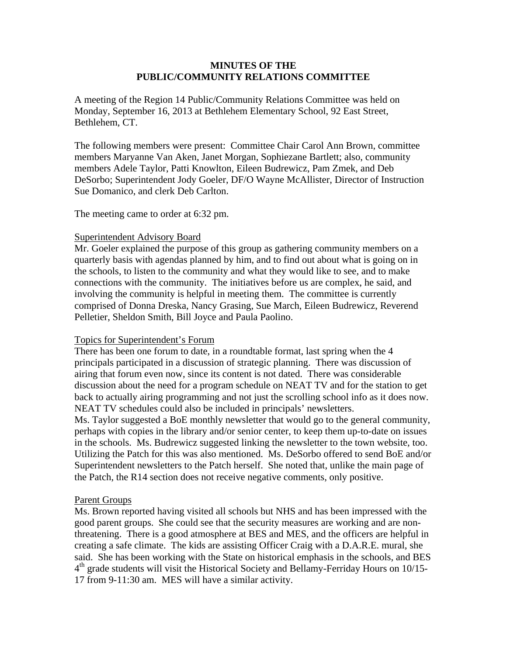### **MINUTES OF THE PUBLIC/COMMUNITY RELATIONS COMMITTEE**

A meeting of the Region 14 Public/Community Relations Committee was held on Monday, September 16, 2013 at Bethlehem Elementary School, 92 East Street, Bethlehem, CT.

The following members were present: Committee Chair Carol Ann Brown, committee members Maryanne Van Aken, Janet Morgan, Sophiezane Bartlett; also, community members Adele Taylor, Patti Knowlton, Eileen Budrewicz, Pam Zmek, and Deb DeSorbo; Superintendent Jody Goeler, DF/O Wayne McAllister, Director of Instruction Sue Domanico, and clerk Deb Carlton.

The meeting came to order at 6:32 pm.

#### Superintendent Advisory Board

Mr. Goeler explained the purpose of this group as gathering community members on a quarterly basis with agendas planned by him, and to find out about what is going on in the schools, to listen to the community and what they would like to see, and to make connections with the community. The initiatives before us are complex, he said, and involving the community is helpful in meeting them. The committee is currently comprised of Donna Dreska, Nancy Grasing, Sue March, Eileen Budrewicz, Reverend Pelletier, Sheldon Smith, Bill Joyce and Paula Paolino.

# Topics for Superintendent's Forum

There has been one forum to date, in a roundtable format, last spring when the 4 principals participated in a discussion of strategic planning. There was discussion of airing that forum even now, since its content is not dated. There was considerable discussion about the need for a program schedule on NEAT TV and for the station to get back to actually airing programming and not just the scrolling school info as it does now. NEAT TV schedules could also be included in principals' newsletters.

Ms. Taylor suggested a BoE monthly newsletter that would go to the general community, perhaps with copies in the library and/or senior center, to keep them up-to-date on issues in the schools. Ms. Budrewicz suggested linking the newsletter to the town website, too. Utilizing the Patch for this was also mentioned. Ms. DeSorbo offered to send BoE and/or Superintendent newsletters to the Patch herself. She noted that, unlike the main page of the Patch, the R14 section does not receive negative comments, only positive.

# Parent Groups

Ms. Brown reported having visited all schools but NHS and has been impressed with the good parent groups. She could see that the security measures are working and are nonthreatening. There is a good atmosphere at BES and MES, and the officers are helpful in creating a safe climate. The kids are assisting Officer Craig with a D.A.R.E. mural, she said. She has been working with the State on historical emphasis in the schools, and BES  $4<sup>th</sup>$  grade students will visit the Historical Society and Bellamy-Ferriday Hours on 10/15-17 from 9-11:30 am. MES will have a similar activity.